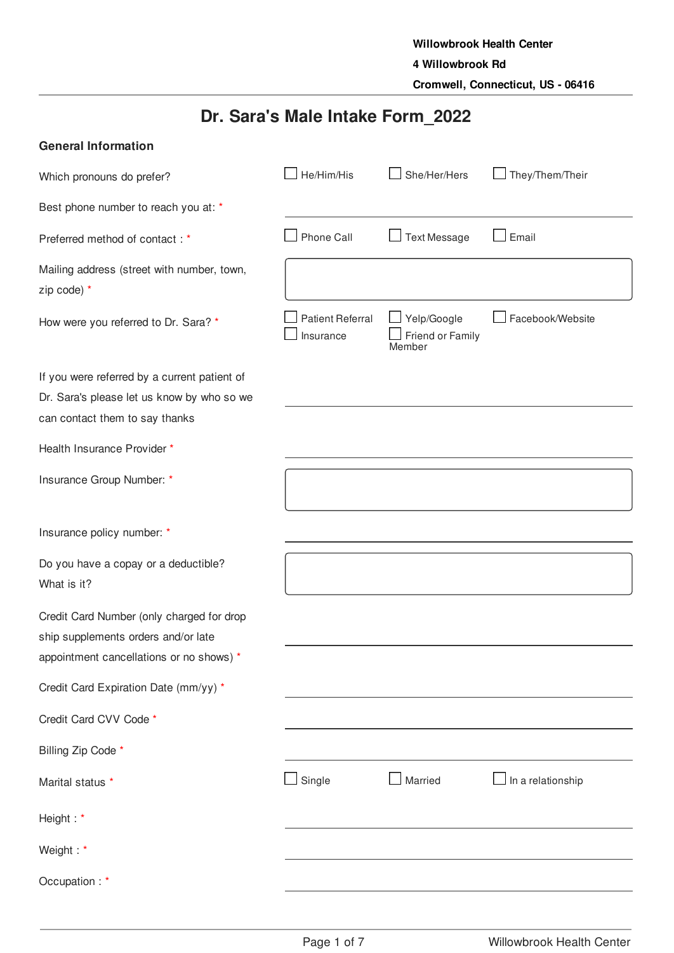# **Dr. Sara's Male Intake Form\_2022**

| <b>General Information</b>                                |                                      |                                           |                   |
|-----------------------------------------------------------|--------------------------------------|-------------------------------------------|-------------------|
| Which pronouns do prefer?                                 | He/Him/His                           | She/Her/Hers                              | They/Them/Their   |
| Best phone number to reach you at: *                      |                                      |                                           |                   |
| Preferred method of contact: *                            | Phone Call                           | <b>Text Message</b>                       | Email             |
| Mailing address (street with number, town,<br>zip code) * |                                      |                                           |                   |
| How were you referred to Dr. Sara? *                      | <b>Patient Referral</b><br>Insurance | Yelp/Google<br>Friend or Family<br>Member | Facebook/Website  |
| If you were referred by a current patient of              |                                      |                                           |                   |
| Dr. Sara's please let us know by who so we                |                                      |                                           |                   |
| can contact them to say thanks                            |                                      |                                           |                   |
| Health Insurance Provider *                               |                                      |                                           |                   |
| Insurance Group Number: *                                 |                                      |                                           |                   |
| Insurance policy number: *                                |                                      |                                           |                   |
| Do you have a copay or a deductible?<br>What is it?       |                                      |                                           |                   |
| Credit Card Number (only charged for drop                 |                                      |                                           |                   |
| ship supplements orders and/or late                       |                                      |                                           |                   |
| appointment cancellations or no shows) *                  |                                      |                                           |                   |
| Credit Card Expiration Date (mm/yy) *                     |                                      |                                           |                   |
| Credit Card CVV Code *                                    |                                      |                                           |                   |
| Billing Zip Code *                                        |                                      |                                           |                   |
| Marital status *                                          | $\Box$ Single                        | Married                                   | In a relationship |
| Height: *                                                 |                                      |                                           |                   |
| Weight: *                                                 |                                      |                                           |                   |
| Occupation: *                                             |                                      |                                           |                   |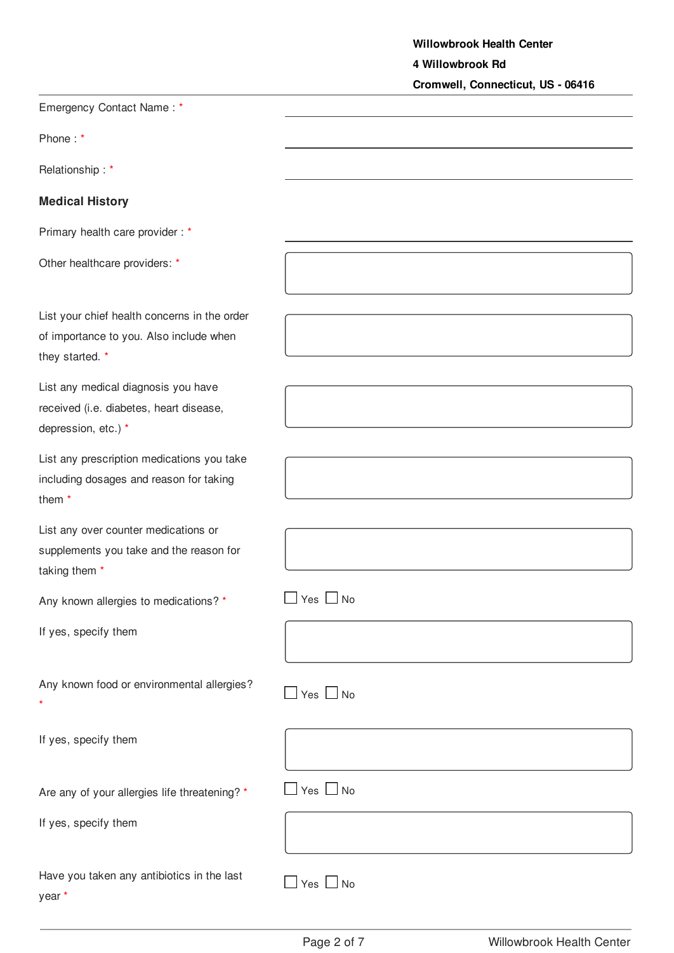**Willowbrook Health Center 4 Willowbrook Rd Cromwell, Connecticut, US - 06416**

| Emergency Contact Name: *                                                                                  |                      |
|------------------------------------------------------------------------------------------------------------|----------------------|
| Phone:*                                                                                                    |                      |
| Relationship: *                                                                                            |                      |
| <b>Medical History</b>                                                                                     |                      |
| Primary health care provider: *                                                                            |                      |
| Other healthcare providers: *                                                                              |                      |
| List your chief health concerns in the order<br>of importance to you. Also include when<br>they started. * |                      |
| List any medical diagnosis you have<br>received (i.e. diabetes, heart disease,<br>depression, etc.) *      |                      |
| List any prescription medications you take<br>including dosages and reason for taking<br>them <sup>*</sup> |                      |
| List any over counter medications or<br>supplements you take and the reason for<br>taking them *           |                      |
| Any known allergies to medications? *                                                                      | Yes $\Box$<br>No     |
| If yes, specify them                                                                                       |                      |
| Any known food or environmental allergies?                                                                 | $\Box$ Yes $\Box$ No |
| If yes, specify them                                                                                       |                      |
| Are any of your allergies life threatening? *                                                              | $\Box$ Yes $\Box$ No |
| If yes, specify them                                                                                       |                      |
| Have you taken any antibiotics in the last<br>year *                                                       | $\Box$ Yes $\Box$ No |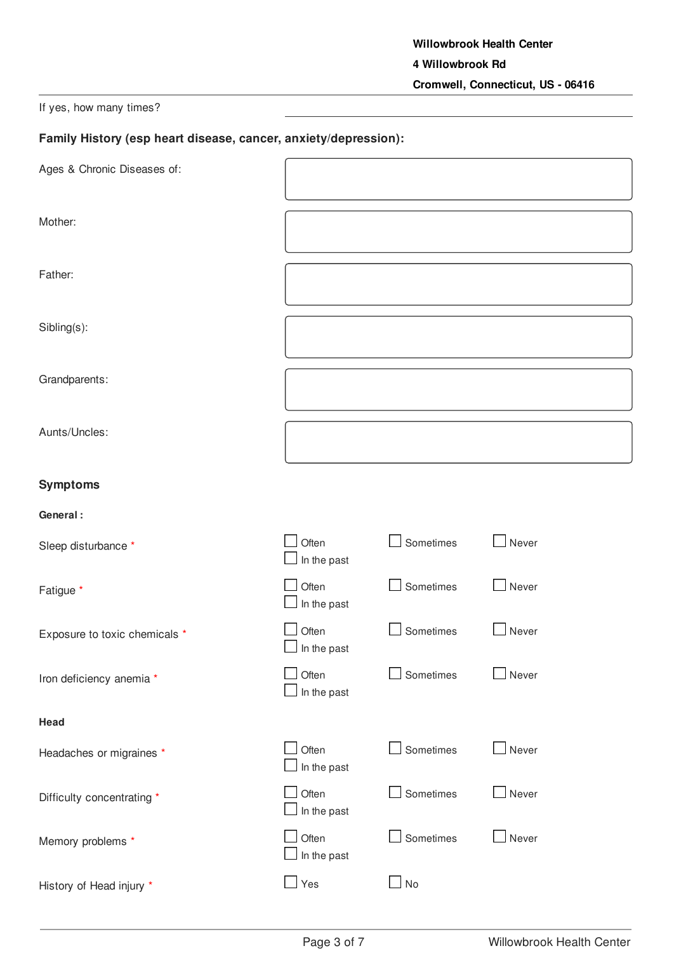# If yes, how many times?

# **Family History (esp heart disease, cancer, anxiety/depression):**

| Ages & Chronic Diseases of:   |                      |                  |       |
|-------------------------------|----------------------|------------------|-------|
| Mother:                       |                      |                  |       |
| Father:                       |                      |                  |       |
| Sibling(s):                   |                      |                  |       |
| Grandparents:                 |                      |                  |       |
| Aunts/Uncles:                 |                      |                  |       |
| <b>Symptoms</b>               |                      |                  |       |
| General:                      |                      |                  |       |
| Sleep disturbance *           | Often<br>In the past | $\Box$ Sometimes | Never |
| Fatigue *                     | Often<br>In the past | $\Box$ Sometimes | Never |
| Exposure to toxic chemicals * | Often<br>In the past | Sometimes        | Never |
| Iron deficiency anemia *      | Often<br>In the past | Sometimes        | Never |
| Head                          |                      |                  |       |
| Headaches or migraines *      | Often<br>In the past | Sometimes        | Never |
| Difficulty concentrating *    | Often<br>In the past | $\Box$ Sometimes | Never |
| Memory problems *             | Often<br>In the past | $\Box$ Sometimes | Never |
| History of Head injury *      | Yes                  | $\Box$ No        |       |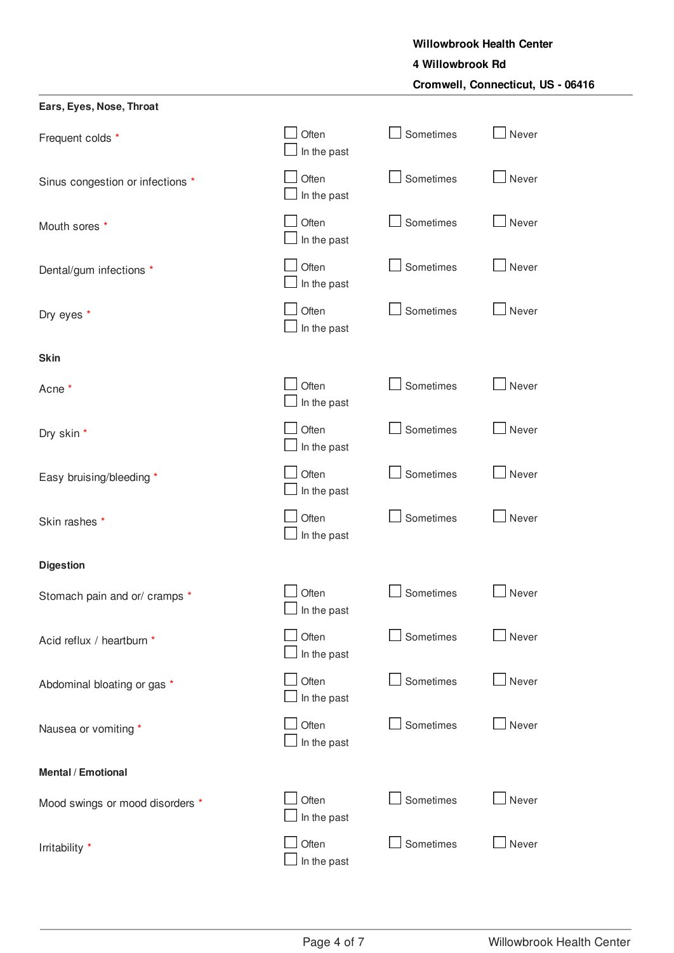# **4 Willowbrook Rd**

**Cromwell, Connecticut, US - 06416**

| Ears, Eyes, Nose, Throat         |                             |           |       |
|----------------------------------|-----------------------------|-----------|-------|
| Frequent colds *                 | Often<br>In the past        | Sometimes | Never |
| Sinus congestion or infections * | Often<br>In the past        | Sometimes | Never |
| Mouth sores *                    | Often<br>In the past        | Sometimes | Never |
| Dental/gum infections *          | Often<br>In the past        | Sometimes | Never |
| Dry eyes *                       | Often<br>In the past        | Sometimes | Never |
| <b>Skin</b>                      |                             |           |       |
| Acne *                           | Often<br>In the past        | Sometimes | Never |
| Dry skin *                       | Often<br>In the past        | Sometimes | Never |
| Easy bruising/bleeding *         | Often<br>In the past        | Sometimes | Never |
| Skin rashes *                    | Often<br>In the past        | Sometimes | Never |
| <b>Digestion</b>                 |                             |           |       |
| Stomach pain and or/ cramps *    | Often<br>$\Box$ In the past | Sometimes | Never |
| Acid reflux / heartburn *        | Often<br>In the past        | Sometimes | Never |
| Abdominal bloating or gas *      | Often<br>In the past        | Sometimes | Never |
| Nausea or vomiting *             | Often<br>In the past        | Sometimes | Never |
| Mental / Emotional               |                             |           |       |
| Mood swings or mood disorders *  | Often<br>In the past        | Sometimes | Never |
| Irritability *                   | Often<br>In the past        | Sometimes | Never |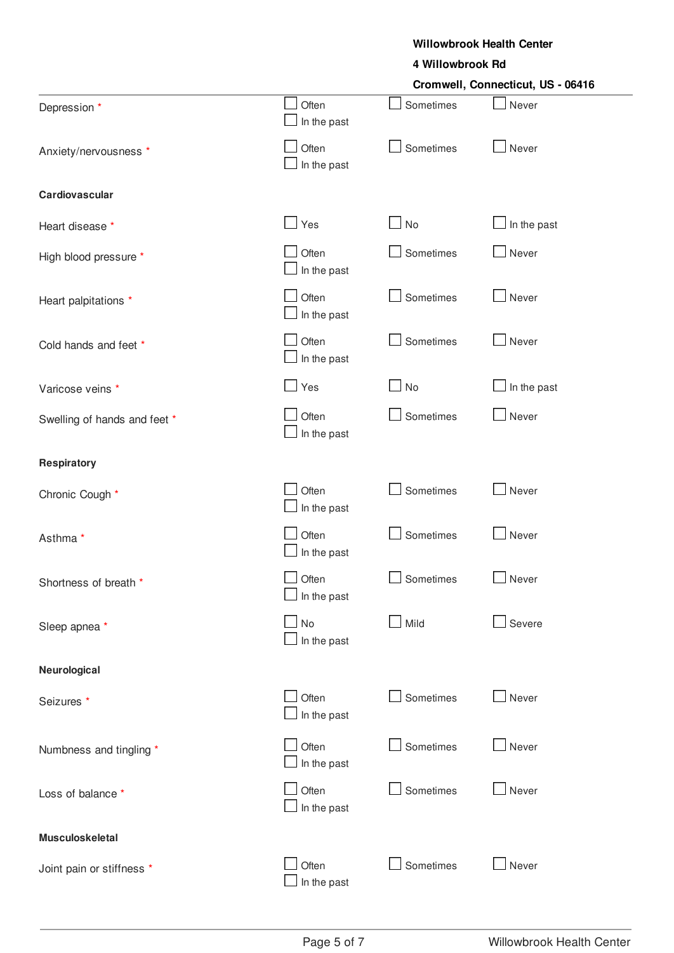#### **4 Willowbrook Rd**

|                              | Cromwell, Connecticut, US - 06416 |                             |                                |  |
|------------------------------|-----------------------------------|-----------------------------|--------------------------------|--|
| Depression *                 | Often<br>In the past              | Sometimes                   | Never                          |  |
| Anxiety/nervousness *        | Often<br>In the past              | Sometimes                   | Never                          |  |
| Cardiovascular               |                                   |                             |                                |  |
| Heart disease *              | Yes                               | $\overline{\phantom{a}}$ No | $\Box$ In the past             |  |
| High blood pressure *        | Often<br>In the past              | Sometimes                   | Never                          |  |
| Heart palpitations *         | Often<br>In the past              | Sometimes                   | $\overline{\phantom{a}}$ Never |  |
| Cold hands and feet *        | Often<br>In the past              | Sometimes                   | Never                          |  |
| Varicose veins *             | Yes                               | No                          | In the past                    |  |
| Swelling of hands and feet * | Often<br>In the past              | Sometimes                   | Never                          |  |
| Respiratory                  |                                   |                             |                                |  |
| Chronic Cough *              | Often<br>In the past              | Sometimes                   | Never                          |  |
| Asthma *                     | Often<br>In the past              | Sometimes                   | Never                          |  |
| Shortness of breath *        | Often<br>$\Box$ In the past       | Sometimes                   | Never                          |  |
| Sleep apnea *                | No<br>In the past                 | Mild                        | Severe                         |  |
| Neurological                 |                                   |                             |                                |  |
| Seizures *                   | Often<br>In the past              | Sometimes                   | Never                          |  |
| Numbness and tingling *      | Often<br>In the past              | Sometimes                   | $\Box$ Never                   |  |
| Loss of balance *            | Often<br>In the past              | Sometimes                   | Never                          |  |
| <b>Musculoskeletal</b>       |                                   |                             |                                |  |
| Joint pain or stiffness *    | Often<br>In the past              | Sometimes                   | Never                          |  |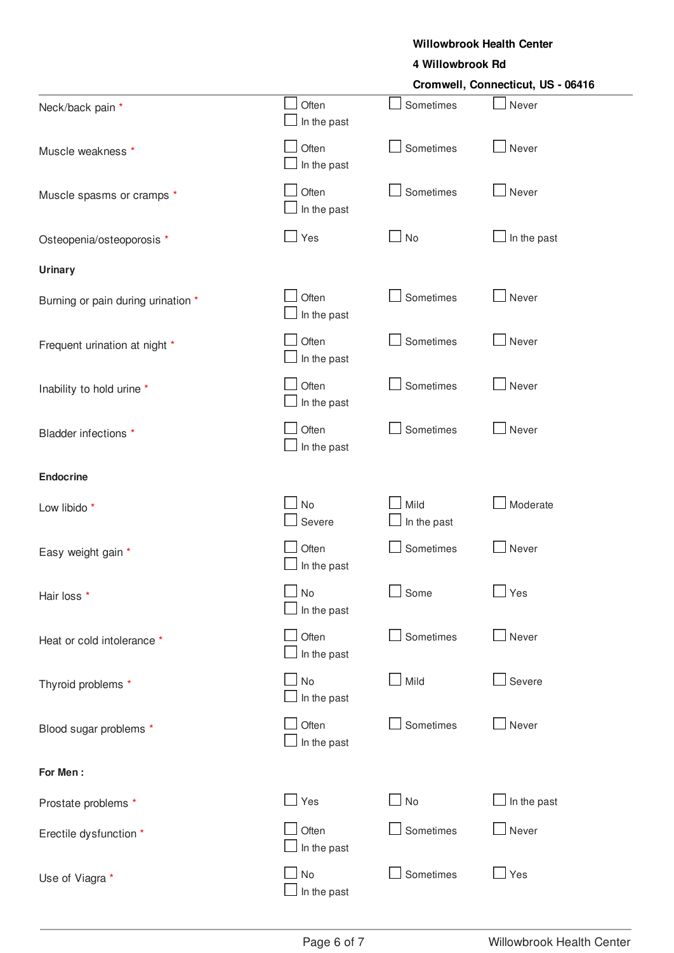#### **4 Willowbrook Rd**

|                                    |                                 | Cromwell, Connecticut, US - 06416 |             |  |
|------------------------------------|---------------------------------|-----------------------------------|-------------|--|
| Neck/back pain *                   | Often<br>In the past            | Sometimes                         | Never       |  |
| Muscle weakness *                  | Often<br>In the past            | Sometimes                         | Never       |  |
| Muscle spasms or cramps *          | Often<br>In the past            | Sometimes                         | Never       |  |
| Osteopenia/osteoporosis *          | $\Box$ Yes                      | No                                | In the past |  |
| <b>Urinary</b>                     |                                 |                                   |             |  |
| Burning or pain during urination * | Often<br>In the past            | Sometimes                         | Never       |  |
| Frequent urination at night *      | Often<br>In the past            | Sometimes                         | Never       |  |
| Inability to hold urine *          | Often<br>In the past            | Sometimes                         | Never       |  |
| Bladder infections *               | Often<br>In the past            | Sometimes                         | Never       |  |
| <b>Endocrine</b>                   |                                 |                                   |             |  |
| Low libido *                       | <b>No</b><br>Severe             | Mild<br>In the past               | Moderate    |  |
| Easy weight gain *                 | Often<br>In the past            | Sometimes                         | Never       |  |
| Hair loss *                        | No<br>In the past               | Some                              | Yes         |  |
| Heat or cold intolerance *         | Often<br>In the past            | Sometimes                         | Never       |  |
| Thyroid problems *                 | <b>No</b><br>$\Box$ In the past | Mild                              | Severe      |  |
| Blood sugar problems *             | Often<br>$\Box$ In the past     | Sometimes                         | Never       |  |
| For Men:                           |                                 |                                   |             |  |
| Prostate problems *                | $\Box$ Yes                      | $\Box$ No                         | In the past |  |
| Erectile dysfunction *             | Often<br>In the past            | Sometimes                         | Never       |  |
| Use of Viagra *                    | <b>No</b><br>$\Box$ In the past | Sometimes                         | Yes         |  |